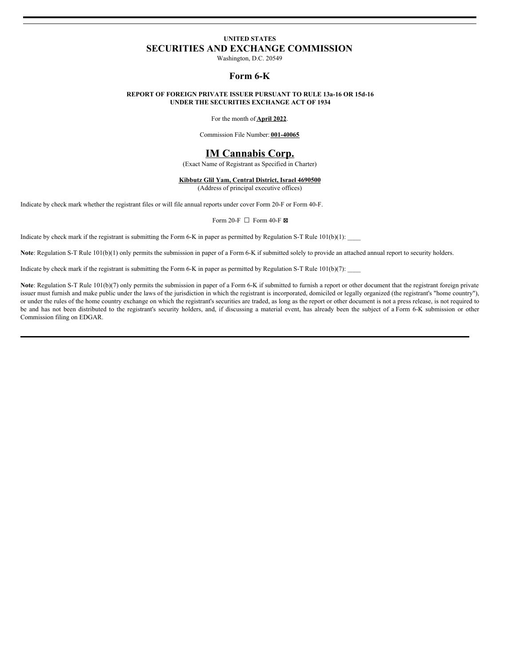# **UNITED STATES SECURITIES AND EXCHANGE COMMISSION**

Washington, D.C. 20549

# **Form 6-K**

### **REPORT OF FOREIGN PRIVATE ISSUER PURSUANT TO RULE 13a-16 OR 15d-16 UNDER THE SECURITIES EXCHANGE ACT OF 1934**

For the month of **April 2022**.

Commission File Number: **001-40065**

# **IM Cannabis Corp.**

(Exact Name of Registrant as Specified in Charter)

**Kibbutz Glil Yam, Central District, Israel 4690500**

(Address of principal executive offices)

Indicate by check mark whether the registrant files or will file annual reports under cover Form 20-F or Form 40-F.

#### Form 20-F  $\Box$  Form 40-F  $\boxtimes$

Indicate by check mark if the registrant is submitting the Form 6-K in paper as permitted by Regulation S-T Rule  $101(b)(1)$ :

**Note**: Regulation S-T Rule 101(b)(1) only permits the submission in paper of a Form 6-K if submitted solely to provide an attached annual report to security holders.

Indicate by check mark if the registrant is submitting the Form 6-K in paper as permitted by Regulation S-T Rule  $101(b)(7)$ :

Note: Regulation S-T Rule 101(b)(7) only permits the submission in paper of a Form 6-K if submitted to furnish a report or other document that the registrant foreign private issuer must furnish and make public under the laws of the jurisdiction in which the registrant is incorporated, domiciled or legally organized (the registrant's "home country"), or under the rules of the home country exchange on which the registrant's securities are traded, as long as the report or other document is not a press release, is not required to be and has not been distributed to the registrant's security holders, and, if discussing a material event, has already been the subject of a Form 6-K submission or other Commission filing on EDGAR.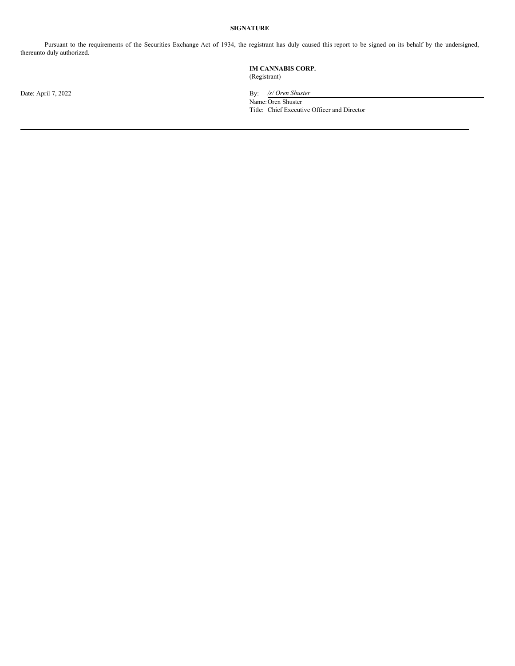# **SIGNATURE**

Pursuant to the requirements of the Securities Exchange Act of 1934, the registrant has duly caused this report to be signed on its behalf by the undersigned, thereunto duly authorized.

## **IM CANNABIS CORP.** (Registrant)

Date: April 7, 2022 By: */s/ Oren Shuster*

Name:Oren Shuster Title: Chief Executive Officer and Director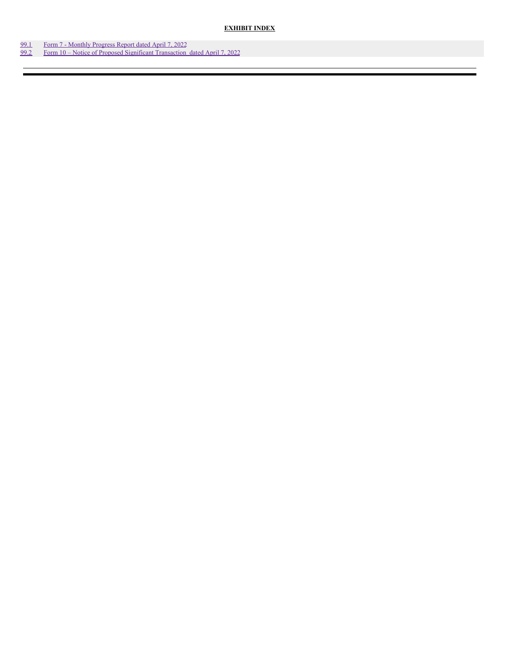**EXHIBIT INDEX**

- [99.1](#page-6-0) Form 7 [Monthly](#page-6-0) Progress Report dated April 7, 2022
- [99.2](#page-11-0) Form 10 Notice of Proposed Significant [Transaction](#page-11-0) dated April 7, 2022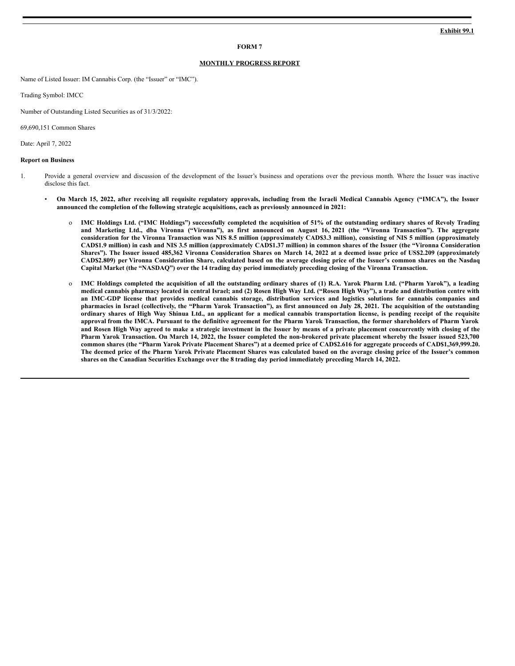#### **FORM 7**

#### **MONTHLY PROGRESS REPORT**

Name of Listed Issuer: IM Cannabis Corp. (the "Issuer" or "IMC").

Trading Symbol: IMCC

Number of Outstanding Listed Securities as of 31/3/2022:

69,690,151 Common Shares

Date: April 7, 2022

#### **Report on Business**

- 1. Provide a general overview and discussion of the development of the Issuer's business and operations over the previous month. Where the Issuer was inactive disclose this fact.
	- On March 15, 2022, after receiving all requisite regulatory approvals, including from the Israeli Medical Cannabis Agency ("IMCA"), the Issuer **announced the completion of the following strategic acquisitions, each as previously announced in 2021:**
		- o IMC Holdings Ltd. ("IMC Holdings") successfully completed the acquisition of 51% of the outstanding ordinary shares of Revoly Trading and Marketing Ltd., dba Vironna ("Vironna"), as first announced on August 16, 2021 (the "Vironna Transaction"). The aggregate consideration for the Vironna Transaction was NIS 8.5 million (approximately CAD\$3.3 million), consisting of NIS 5 million (approximately CAD\$1.9 million) in cash and NIS 3.5 million (approximately CAD\$1.37 million) in common shares of the Issuer (the "Vironna Consideration Shares"). The Issuer issued 485,362 Vironna Consideration Shares on March 14, 2022 at a deemed issue price of US\$2.209 (approximately CAD\$2.809) per Vironna Consideration Share, calculated based on the average closing price of the Issuer's common shares on the Nasdaq Capital Market (the "NASDAQ") over the 14 trading day period immediately preceding closing of the Vironna Transaction.
		- o IMC Holdings completed the acquisition of all the outstanding ordinary shares of (1) R.A. Yarok Pharm Ltd. ("Pharm Yarok"), a leading medical cannabis pharmacy located in central Israel; and (2) Rosen High Way Ltd. ("Rosen High Way"), a trade and distribution centre with an IMC-GDP license that provides medical cannabis storage, distribution services and logistics solutions for cannabis companies and pharmacies in Israel (collectively, the "Pharm Yarok Transaction"), as first announced on July 28, 2021. The acquisition of the outstanding ordinary shares of High Way Shinua Ltd., an applicant for a medical cannabis transportation license, is pending receipt of the requisite approval from the IMCA. Pursuant to the definitive agreement for the Pharm Yarok Transaction, the former shareholders of Pharm Yarok and Rosen High Way agreed to make a strategic investment in the Issuer by means of a private placement concurrently with closing of the Pharm Yarok Transaction. On March 14, 2022, the Issuer completed the non-brokered private placement whereby the Issuer issued 523,700 common shares (the "Pharm Yarok Private Placement Shares") at a deemed price of CAD\$2.616 for aggregate proceeds of CAD\$1,369,999.20. The deemed price of the Pharm Yarok Private Placement Shares was calculated based on the average closing price of the Issuer's common shares on the Canadian Securities Exchange over the 8 trading day period immediately preceding March 14, 2022.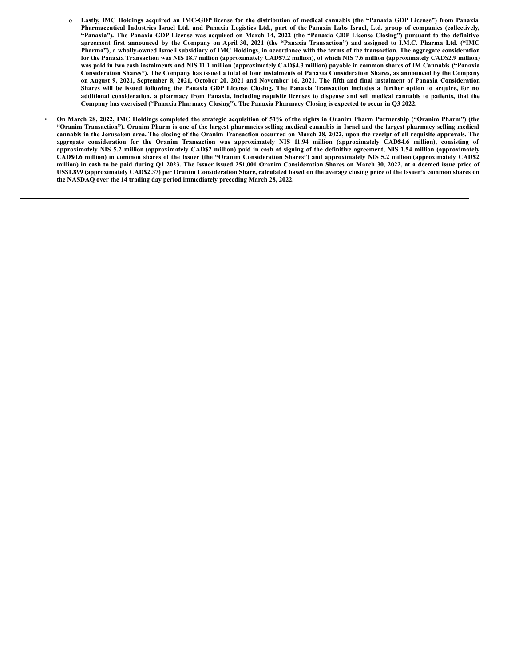- o Lastly, IMC Holdings acquired an IMC-GDP license for the distribution of medical cannabis (the "Panaxia GDP License") from Panaxia Pharmaceutical Industries Israel Ltd. and Panaxia Logistics Ltd., part of the Panaxia Labs Israel, Ltd. group of companies (collectively, "Panaxia"). The Panaxia GDP License was acquired on March 14, 2022 (the "Panaxia GDP License Closing") pursuant to the definitive agreement first announced by the Company on April 30, 2021 (the "Panaxia Transaction") and assigned to I.M.C. Pharma Ltd. ("IMC Pharma"), a wholly-owned Israeli subsidiary of IMC Holdings, in accordance with the terms of the transaction. The aggregate consideration for the Panaxia Transaction was NIS 18.7 million (approximately CAD\$7.2 million), of which NIS 7.6 million (approximately CAD\$2.9 million) was paid in two cash instalments and NIS 11.1 million (approximately CAD\$4.3 million) payable in common shares of IM Cannabis ("Panaxia Consideration Shares"). The Company has issued a total of four instalments of Panaxia Consideration Shares, as announced by the Company on August 9, 2021, September 8, 2021, October 20, 2021 and November 16, 2021. The fifth and final instalment of Panaxia Consideration Shares will be issued following the Panaxia GDP License Closing. The Panaxia Transaction includes a further option to acquire, for no additional consideration, a pharmacy from Panaxia, including requisite licenses to dispense and sell medical cannabis to patients, that the Company has exercised ("Panaxia Pharmacy Closing"). The Panaxia Pharmacy Closing is expected to occur in Q3 2022.
- On March 28, 2022, IMC Holdings completed the strategic acquisition of 51% of the rights in Oranim Pharm Partnership ("Oranim Pharm") (the "Oranim Transaction"). Oranim Pharm is one of the largest pharmacies selling medical cannabis in Israel and the largest pharmacy selling medical cannabis in the Jerusalem area. The closing of the Oranim Transaction occurred on March 28, 2022, upon the receipt of all requisite approvals. The aggregate consideration for the Oranim Transaction was approximately NIS 11.94 million (approximately CAD\$4.6 million), consisting of approximately NIS 5.2 million (approximately CAD\$2 million) paid in cash at signing of the definitive agreement, NIS 1.54 million (approximately CAD\$0.6 million) in common shares of the Issuer (the "Oranim Consideration Shares") and approximately NIS 5.2 million (approximately CAD\$2 million) in cash to be paid during O1 2023. The Issuer issued 251,001 Oranim Consideration Shares on March 30, 2022, at a deemed issue price of US\$1.899 (approximately CAD\$2.37) per Oranim Consideration Share, calculated based on the average closing price of the Issuer's common shares on **the NASDAQ over the 14 trading day period immediately preceding March 28, 2022.**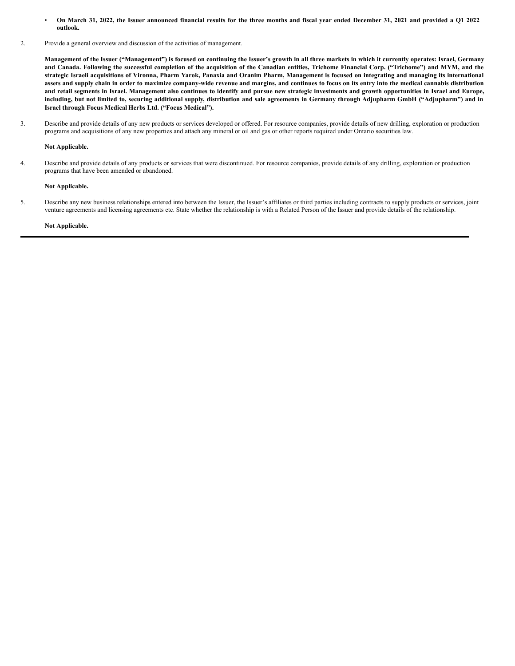- On March 31, 2022, the Issuer announced financial results for the three months and fiscal year ended December 31, 2021 and provided a Q1 2022 **outlook.**
- 2. Provide a general overview and discussion of the activities of management.

Management of the Issuer ("Management") is focused on continuing the Issuer's growth in all three markets in which it currently operates: Israel, Germany and Canada. Following the successful completion of the acquisition of the Canadian entities, Trichome Financial Corp. ("Trichome") and MYM, and the strategic Israeli acquisitions of Vironna, Pharm Yarok, Panaxia and Oranim Pharm, Management is focused on integrating and managing its international assets and supply chain in order to maximize company-wide revenue and margins, and continues to focus on its entry into the medical cannabis distribution and retail segments in Israel. Management also continues to identify and pursue new strategic investments and growth opportunities in Israel and Europe, including, but not limited to, securing additional supply, distribution and sale agreements in Germany through Adjupharm GmbH ("Adjupharm") and in **Israel through Focus Medical Herbs Ltd. ("Focus Medical").**

3. Describe and provide details of any new products or services developed or offered. For resource companies, provide details of new drilling, exploration or production programs and acquisitions of any new properties and attach any mineral or oil and gas or other reports required under Ontario securities law.

### **Not Applicable.**

4. Describe and provide details of any products or services that were discontinued. For resource companies, provide details of any drilling, exploration or production programs that have been amended or abandoned.

### **Not Applicable.**

5. Describe any new business relationships entered into between the Issuer, the Issuer's affiliates or third parties including contracts to supply products or services, joint venture agreements and licensing agreements etc. State whether the relationship is with a Related Person of the Issuer and provide details of the relationship.

#### **Not Applicable.**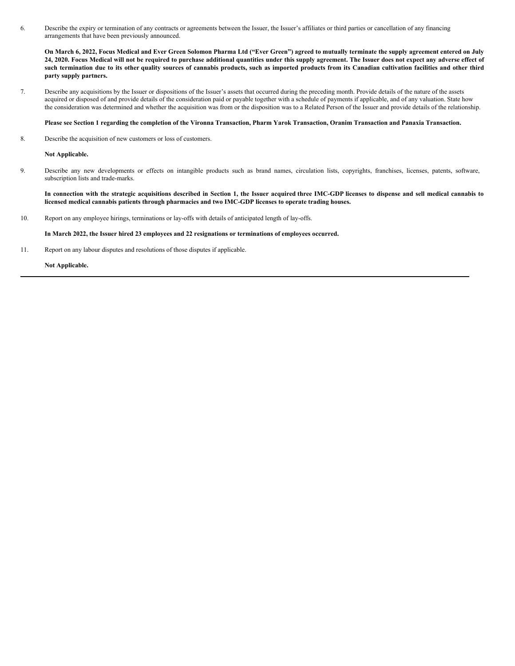<span id="page-6-0"></span>6. Describe the expiry or termination of any contracts or agreements between the Issuer, the Issuer's affiliates or third parties or cancellation of any financing arrangements that have been previously announced.

On March 6, 2022, Focus Medical and Ever Green Solomon Pharma Ltd ("Ever Green") agreed to mutually terminate the supply agreement entered on July 24, 2020. Focus Medical will not be required to purchase additional quantities under this supply agreement. The Issuer does not expect any adverse effect of such termination due to its other quality sources of cannabis products, such as imported products from its Canadian cultivation facilities and other third **party supply partners.**

7. Describe any acquisitions by the Issuer or dispositions of the Issuer's assets that occurred during the preceding month. Provide details of the nature of the assets acquired or disposed of and provide details of the consideration paid or payable together with a schedule of payments if applicable, and of any valuation. State how the consideration was determined and whether the acquisition was from or the disposition was to a Related Person of the Issuer and provide details of the relationship.

#### Please see Section 1 regarding the completion of the Vironna Transaction, Pharm Yarok Transaction, Oranim Transaction and Panaxia Transaction.

8. Describe the acquisition of new customers or loss of customers.

**Not Applicable.**

9. Describe any new developments or effects on intangible products such as brand names, circulation lists, copyrights, franchises, licenses, patents, software, subscription lists and trade-marks.

In connection with the strategic acquisitions described in Section 1, the Issuer acquired three IMC-GDP licenses to dispense and sell medical cannabis to **licensed medical cannabis patients through pharmacies and two IMC-GDP licenses to operate trading houses.**

10. Report on any employee hirings, terminations or lay-offs with details of anticipated length of lay-offs.

#### **In March 2022, the Issuer hired 23 employees and 22 resignations or terminations of employees occurred.**

11. Report on any labour disputes and resolutions of those disputes if applicable.

**Not Applicable.**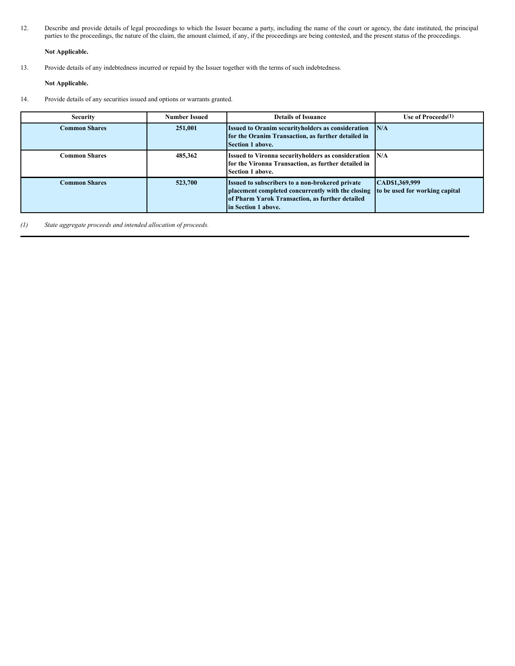12. Describe and provide details of legal proceedings to which the Issuer became a party, including the name of the court or agency, the date instituted, the principal parties to the proceedings, the nature of the claim, the amount claimed, if any, if the proceedings are being contested, and the present status of the proceedings.

### **Not Applicable.**

13. Provide details of any indebtedness incurred or repaid by the Issuer together with the terms of such indebtedness.

**Not Applicable.**

14. Provide details of any securities issued and options or warrants granted.

| <b>Security</b>      | <b>Number Issued</b> | <b>Details of Issuance</b>                                                                                                                                                     | Use of Proceeds $(1)$                            |
|----------------------|----------------------|--------------------------------------------------------------------------------------------------------------------------------------------------------------------------------|--------------------------------------------------|
| <b>Common Shares</b> | 251,001              | <b>Issued to Oranim securityholders as consideration</b><br>for the Oranim Transaction, as further detailed in<br>Section 1 above.                                             | N/A                                              |
| <b>Common Shares</b> | 485,362              | Issued to Vironna securityholders as consideration N/A<br>for the Vironna Transaction, as further detailed in<br>Section 1 above.                                              |                                                  |
| <b>Common Shares</b> | 523,700              | Issued to subscribers to a non-brokered private<br>placement completed concurrently with the closing<br>of Pharm Yarok Transaction, as further detailed<br>in Section 1 above. | CAD\$1,369,999<br>to be used for working capital |

*(1) State aggregate proceeds and intended allocation of proceeds.*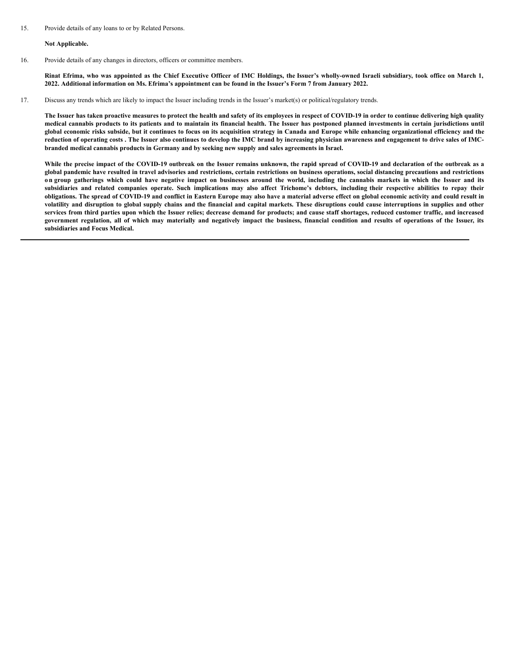**Not Applicable.**

16. Provide details of any changes in directors, officers or committee members.

Rinat Efrima, who was appointed as the Chief Executive Officer of IMC Holdings, the Issuer's wholly-owned Israeli subsidiary, took office on March 1, 2022. Additional information on Ms. Efrima's appointment can be found in the Issuer's Form 7 from January 2022.

17. Discuss any trends which are likely to impact the Issuer including trends in the Issuer's market(s) or political/regulatory trends.

The Issuer has taken proactive measures to protect the health and safety of its employees in respect of COVID-19 in order to continue delivering high quality medical cannabis products to its patients and to maintain its financial health. The Issuer has postponed planned investments in certain jurisdictions until global economic risks subside, but it continues to focus on its acquisition strategy in Canada and Europe while enhancing organizational efficiency and the reduction of operating costs . The Issuer also continues to develop the IMC brand by increasing physician awareness and engagement to drive sales of IMC**branded medical cannabis products in Germany and by seeking new supply and sales agreements in Israel.**

While the precise impact of the COVID-19 outbreak on the Issuer remains unknown, the rapid spread of COVID-19 and declaration of the outbreak as a global pandemic have resulted in travel advisories and restrictions, certain restrictions on business operations, social distancing precautions and restrictions on group gatherings which could have negative impact on businesses around the world, including the cannabis markets in which the Issuer and its subsidiaries and related companies operate. Such implications may also affect Trichome's debtors, including their respective abilities to repay their obligations. The spread of COVID-19 and conflict in Eastern Europe may also have a material adverse effect on global economic activity and could result in volatility and disruption to global supply chains and the financial and capital markets. These disruptions could cause interruptions in supplies and other services from third parties upon which the Issuer relies; decrease demand for products; and cause staff shortages, reduced customer traffic, and increased government regulation, all of which may materially and negatively impact the business, financial condition and results of operations of the Issuer, its **subsidiaries and Focus Medical.**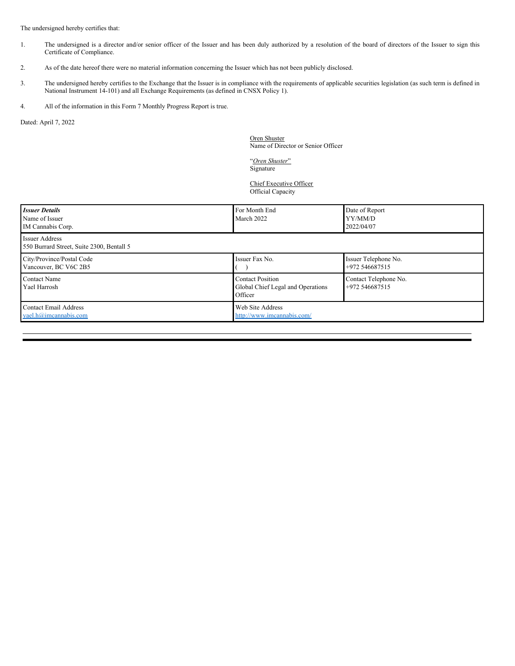The undersigned hereby certifies that:

- 1. The undersigned is a director and/or senior officer of the Issuer and has been duly authorized by a resolution of the board of directors of the Issuer to sign this Certificate of Compliance.
- 2. As of the date hereof there were no material information concerning the Issuer which has not been publicly disclosed.
- 3. The undersigned hereby certifies to the Exchange that the Issuer is in compliance with the requirements of applicable securities legislation (as such term is defined in National Instrument 14-101) and all Exchange Requirements (as defined in CNSX Policy 1).
- 4. All of the information in this Form 7 Monthly Progress Report is true.

Dated: April 7, 2022

Oren Shuster Name of Director or Senior Officer

"*Oren Shuster*" Signature

Chief Executive Officer Official Capacity

| <b>Issuer Details</b><br>Name of Issuer<br>IM Cannabis Corp. | For Month End<br>March 2022                                             | Date of Report<br>YY/MM/D<br>2022/04/07 |
|--------------------------------------------------------------|-------------------------------------------------------------------------|-----------------------------------------|
| Issuer Address<br>550 Burrard Street, Suite 2300, Bentall 5  |                                                                         |                                         |
| City/Province/Postal Code<br>Vancouver, BC V6C 2B5           | Issuer Fax No.                                                          | Issuer Telephone No.<br>+972 546687515  |
| <b>Contact Name</b><br>Yael Harrosh                          | <b>Contact Position</b><br>Global Chief Legal and Operations<br>Officer | Contact Telephone No.<br>+972 546687515 |
| <b>Contact Email Address</b><br>yael.h@imcannabis.com        | Web Site Address<br>http://www.imcannabis.com/                          |                                         |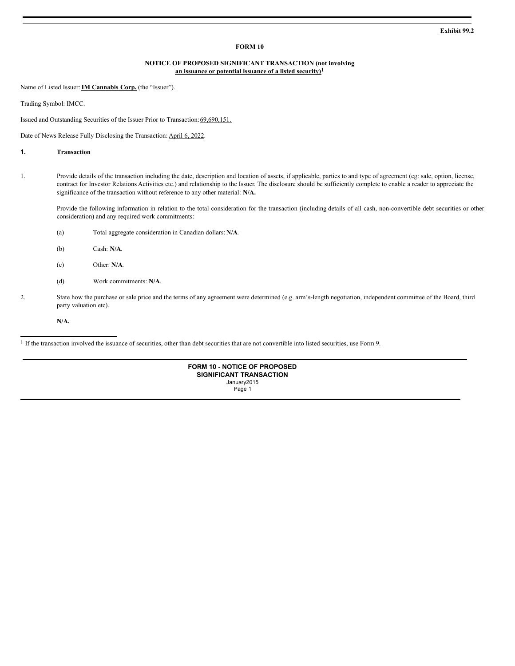#### **FORM 10**

### **NOTICE OF PROPOSED SIGNIFICANT TRANSACTION (not involving an issuance or potential issuance of a listed security)1**

Name of Listed Issuer:**IM Cannabis Corp.** (the "Issuer").

Trading Symbol: IMCC.

Issued and Outstanding Securities of the Issuer Prior to Transaction: 69,690,151.

Date of News Release Fully Disclosing the Transaction: April 6, 2022.

### **1. Transaction**

1. Provide details of the transaction including the date, description and location of assets, if applicable, parties to and type of agreement (eg: sale, option, license, contract for Investor Relations Activities etc.) and relationship to the Issuer. The disclosure should be sufficiently complete to enable a reader to appreciate the significance of the transaction without reference to any other material: **N/A.**

Provide the following information in relation to the total consideration for the transaction (including details of all cash, non-convertible debt securities or other consideration) and any required work commitments:

- (a) Total aggregate consideration in Canadian dollars: **N/A**.
- (b) Cash: **N/A**.
- (c) Other: **N/A**.
- (d) Work commitments: **N/A**.
- 2. State how the purchase or sale price and the terms of any agreement were determined (e.g. arm's-length negotiation, independent committee of the Board, third party valuation etc).

**N/A.**

1 If the transaction involved the issuance of securities, other than debt securities that are not convertible into listed securities, use Form 9.

| <b>FORM 10 - NOTICE OF PROPOSED</b><br><b>SIGNIFICANT TRANSACTION</b> |  |  |
|-----------------------------------------------------------------------|--|--|
|                                                                       |  |  |
| January2015                                                           |  |  |
| Page 1                                                                |  |  |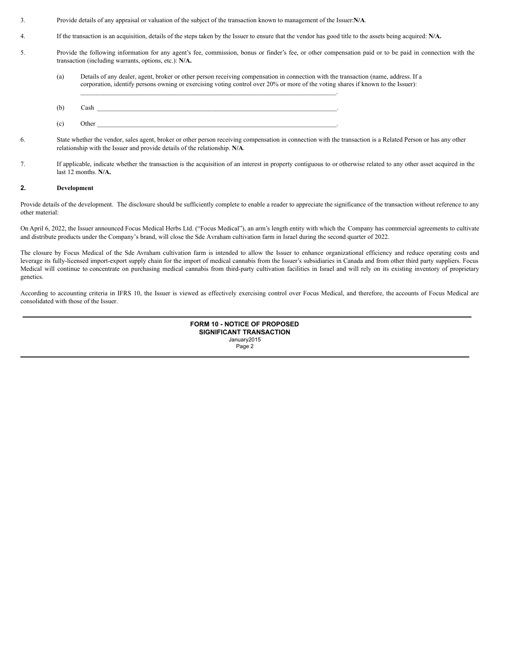- <span id="page-11-0"></span>3. Provide details of any appraisal or valuation of the subject of the transaction known to management of the Issuer:**N/A**.
- 4. If the transaction is an acquisition, details of the steps taken by the Issuer to ensure that the vendor has good title to the assets being acquired: **N/A.**
- 5. Provide the following information for any agent's fee, commission, bonus or finder's fee, or other compensation paid or to be paid in connection with the transaction (including warrants, options, etc.): **N/A.**
	- (a) Details of any dealer, agent, broker or other person receiving compensation in connection with the transaction (name, address. If a corporation, identify persons owning or exercising voting control over 20% or more of the voting shares if known to the Issuer):
	- (b) Cash  $\Box$  $\chi$  (c) Other  $\Box$

 $\mathcal{L}_\mathcal{L} = \{ \mathcal{L}_\mathcal{L} = \{ \mathcal{L}_\mathcal{L} = \{ \mathcal{L}_\mathcal{L} = \{ \mathcal{L}_\mathcal{L} = \{ \mathcal{L}_\mathcal{L} = \{ \mathcal{L}_\mathcal{L} = \{ \mathcal{L}_\mathcal{L} = \{ \mathcal{L}_\mathcal{L} = \{ \mathcal{L}_\mathcal{L} = \{ \mathcal{L}_\mathcal{L} = \{ \mathcal{L}_\mathcal{L} = \{ \mathcal{L}_\mathcal{L} = \{ \mathcal{L}_\mathcal{L} = \{ \mathcal{L}_\mathcal{$ 

- 6. State whether the vendor, sales agent, broker or other person receiving compensation in connection with the transaction is a Related Person or has any other
- relationship with the Issuer and provide details of the relationship. **N/A**.
- 7. If applicable, indicate whether the transaction is the acquisition of an interest in property contiguous to or otherwise related to any other asset acquired in the last 12 months. **N/A.**

### **2. Development**

Provide details of the development. The disclosure should be sufficiently complete to enable a reader to appreciate the significance of the transaction without reference to any other material:

On April 6, 2022, the Issuer announced Focus Medical Herbs Ltd. ("Focus Medical"), an arm's length entity with which the Company has commercial agreements to cultivate and distribute products under the Company's brand, will close the Sde Avraham cultivation farm in Israel during the second quarter of 2022.

The closure by Focus Medical of the Sde Avraham cultivation farm is intended to allow the Issuer to enhance organizational efficiency and reduce operating costs and leverage its fully-licensed import-export supply chain for the import of medical cannabis from the Issuer's subsidiaries in Canada and from other third party suppliers. Focus Medical will continue to concentrate on purchasing medical cannabis from third-party cultivation facilities in Israel and will rely on its existing inventory of proprietary genetics.

According to accounting criteria in IFRS 10, the Issuer is viewed as effectively exercising control over Focus Medical, and therefore, the accounts of Focus Medical are consolidated with those of the Issuer.

> **FORM 10 - NOTICE OF PROPOSED SIGNIFICANT TRANSACTION** January2015 Page 2